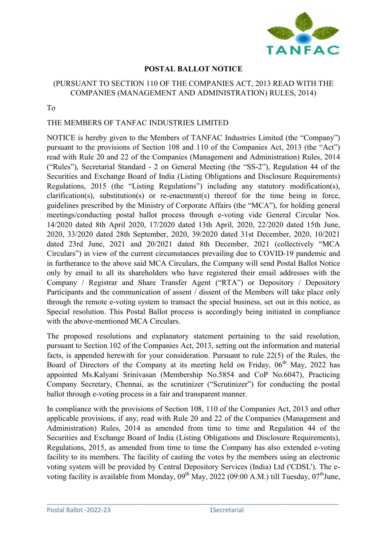

# POSTAL BALLOT NOTICE

# (PURSUANT TO SECTION 110 OF THE COMPANIES ACT, 2013 READ WITH THE COMPANIES (MANAGEMENT AND ADMINISTRATION) RULES, 2014)

To

### THE MEMBERS OF TANFAC INDUSTRIES LIMITED

NOTICE is hereby given to the Members of TANFAC Industries Limited (the "Company") pursuant to the provisions of Section 108 and 110 of the Companies Act, 2013 (the "Act") read with Rule 20 and 22 of the Companies (Management and Administration) Rules, 2014 ("Rules"), Secretarial Standard - 2 on General Meeting (the "SS-2"), Regulation 44 of the Securities and Exchange Board of India (Listing Obligations and Disclosure Requirements) Regulations, 2015 (the "Listing Regulations") including any statutory modification(s), clarification(s), substitution(s) or re-enactment(s) thereof for the time being in force, guidelines prescribed by the Ministry of Corporate Affairs (the "MCA"), for holding general meetings/conducting postal ballot process through e-voting vide General Circular Nos. 14/2020 dated 8th April 2020, 17/2020 dated 13th April, 2020, 22/2020 dated 15th June, 2020, 33/2020 dated 28th September, 2020, 39/2020 dated 31st December, 2020, 10/2021 dated 23rd June, 2021 and 20/2021 dated 8th December, 2021 (collectively "MCA Circulars") in view of the current circumstances prevailing due to COVID-19 pandemic and in furtherance to the above said MCA Circulars, the Company will send Postal Ballot Notice only by email to all its shareholders who have registered their email addresses with the Company / Registrar and Share Transfer Agent ("RTA") or Depository / Depository Participants and the communication of assent / dissent of the Members will take place only through the remote e-voting system to transact the special business, set out in this notice, as Special resolution. This Postal Ballot process is accordingly being initiated in compliance with the above-mentioned MCA Circulars.

The proposed resolutions and explanatory statement pertaining to the said resolution, pursuant to Section 102 of the Companies Act, 2013, setting out the information and material facts, is appended herewith for your consideration. Pursuant to rule 22(5) of the Rules, the Board of Directors of the Company at its meeting held on Friday,  $06<sup>th</sup>$  May, 2022 has appointed Ms.Kalyani Srinivasan (Membership No.5854 and CoP No.6047), Practicing Company Secretary, Chennai, as the scrutinizer ("Scrutinizer") for conducting the postal ballot through e-voting process in a fair and transparent manner.

In compliance with the provisions of Section 108, 110 of the Companies Act, 2013 and other applicable provisions, if any, read with Rule 20 and 22 of the Companies (Management and Administration) Rules, 2014 as amended from time to time and Regulation 44 of the Securities and Exchange Board of India (Listing Obligations and Disclosure Requirements), Regulations, 2015, as amended from time to time the Company has also extended e-voting facility to its members. The facility of casting the votes by the members using an electronic voting system will be provided by Central Depository Services (India) Ltd ('CDSL'). The evoting facility is available from Monday,  $09<sup>th</sup>$  May, 2022 (09:00 A.M.) till Tuesday,  $07<sup>th</sup>$ June,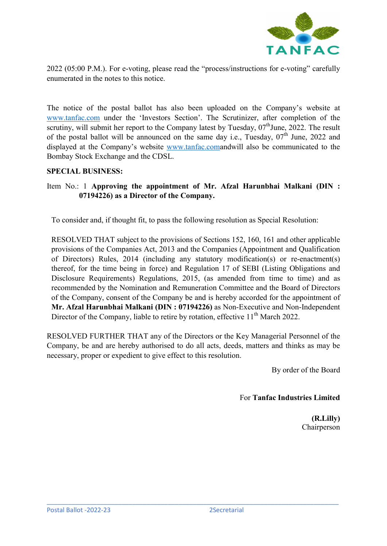

2022 (05:00 P.M.). For e-voting, please read the "process/instructions for e-voting" carefully enumerated in the notes to this notice.

The notice of the postal ballot has also been uploaded on the Company's website at www.tanfac.com under the 'Investors Section'. The Scrutinizer, after completion of the scrutiny, will submit her report to the Company latest by Tuesday,  $07<sup>th</sup>$  June, 2022. The result of the postal ballot will be announced on the same day i.e., Tuesday,  $07<sup>th</sup>$  June, 2022 and displayed at the Company's website www.tanfac.comandwill also be communicated to the Bombay Stock Exchange and the CDSL.

#### SPECIAL BUSINESS:

# Item No.: 1 Approving the appointment of Mr. Afzal Harunbhai Malkani (DIN : 07194226) as a Director of the Company.

To consider and, if thought fit, to pass the following resolution as Special Resolution:

RESOLVED THAT subject to the provisions of Sections 152, 160, 161 and other applicable provisions of the Companies Act, 2013 and the Companies (Appointment and Qualification of Directors) Rules, 2014 (including any statutory modification(s) or re-enactment(s) thereof, for the time being in force) and Regulation 17 of SEBI (Listing Obligations and Disclosure Requirements) Regulations, 2015, (as amended from time to time) and as recommended by the Nomination and Remuneration Committee and the Board of Directors of the Company, consent of the Company be and is hereby accorded for the appointment of Mr. Afzal Harunbhai Malkani (DIN : 07194226) as Non-Executive and Non-Independent Director of the Company, liable to retire by rotation, effective  $11<sup>th</sup>$  March 2022.

RESOLVED FURTHER THAT any of the Directors or the Key Managerial Personnel of the Company, be and are hereby authorised to do all acts, deeds, matters and thinks as may be necessary, proper or expedient to give effect to this resolution.

\_\_\_\_\_\_\_\_\_\_\_\_\_\_\_\_\_\_\_\_\_\_\_\_\_\_\_\_\_\_\_\_\_\_\_\_\_\_\_\_\_\_\_\_\_\_\_\_\_\_\_\_\_\_\_\_\_\_\_\_\_\_\_\_\_\_\_\_\_\_\_\_\_\_\_\_\_\_\_\_\_\_

By order of the Board

For Tanfac Industries Limited

(R.Lilly) Chairperson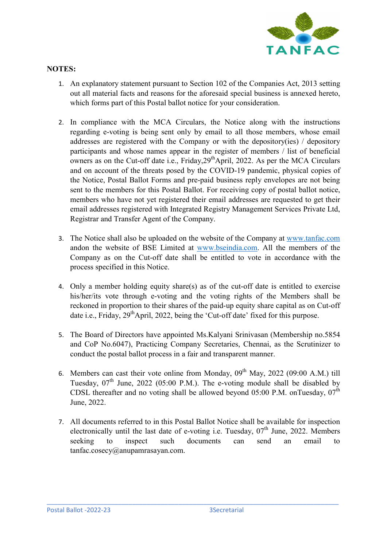

# NOTES:

- 1. An explanatory statement pursuant to Section 102 of the Companies Act, 2013 setting out all material facts and reasons for the aforesaid special business is annexed hereto, which forms part of this Postal ballot notice for your consideration.
- 2. In compliance with the MCA Circulars, the Notice along with the instructions regarding e-voting is being sent only by email to all those members, whose email addresses are registered with the Company or with the depository(ies) / depository participants and whose names appear in the register of members / list of beneficial owners as on the Cut-off date i.e., Friday,  $29<sup>th</sup>$ April, 2022. As per the MCA Circulars and on account of the threats posed by the COVID-19 pandemic, physical copies of the Notice, Postal Ballot Forms and pre-paid business reply envelopes are not being sent to the members for this Postal Ballot. For receiving copy of postal ballot notice, members who have not yet registered their email addresses are requested to get their email addresses registered with Integrated Registry Management Services Private Ltd, Registrar and Transfer Agent of the Company.
- 3. The Notice shall also be uploaded on the website of the Company at www.tanfac.com andon the website of BSE Limited at www.bseindia.com. All the members of the Company as on the Cut-off date shall be entitled to vote in accordance with the process specified in this Notice.
- 4. Only a member holding equity share(s) as of the cut-off date is entitled to exercise his/her/its vote through e-voting and the voting rights of the Members shall be reckoned in proportion to their shares of the paid-up equity share capital as on Cut-off date i.e., Friday, 29<sup>th</sup>April, 2022, being the 'Cut-off date' fixed for this purpose.
- 5. The Board of Directors have appointed Ms.Kalyani Srinivasan (Membership no.5854 and CoP No.6047), Practicing Company Secretaries, Chennai, as the Scrutinizer to conduct the postal ballot process in a fair and transparent manner.
- 6. Members can cast their vote online from Monday,  $0.09^{th}$  May, 2022 (09:00 A.M.) till Tuesday,  $07<sup>th</sup>$  June, 2022 (05:00 P.M.). The e-voting module shall be disabled by CDSL thereafter and no voting shall be allowed beyond 05:00 P.M. onTuesday,  $07<sup>th</sup>$ June, 2022.
- 7. All documents referred to in this Postal Ballot Notice shall be available for inspection electronically until the last date of e-voting i.e. Tuesday,  $07<sup>th</sup>$  June, 2022. Members seeking to inspect such documents can send an email to tanfac.cosecy@anupamrasayan.com.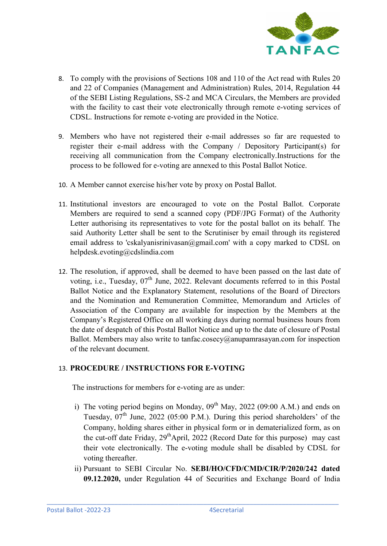

- 8. To comply with the provisions of Sections 108 and 110 of the Act read with Rules 20 and 22 of Companies (Management and Administration) Rules, 2014, Regulation 44 of the SEBI Listing Regulations, SS-2 and MCA Circulars, the Members are provided with the facility to cast their vote electronically through remote e-voting services of CDSL. Instructions for remote e-voting are provided in the Notice.
- 9. Members who have not registered their e-mail addresses so far are requested to register their e-mail address with the Company / Depository Participant(s) for receiving all communication from the Company electronically.Instructions for the process to be followed for e-voting are annexed to this Postal Ballot Notice.
- 10. A Member cannot exercise his/her vote by proxy on Postal Ballot.
- 11. Institutional investors are encouraged to vote on the Postal Ballot. Corporate Members are required to send a scanned copy (PDF/JPG Format) of the Authority Letter authorising its representatives to vote for the postal ballot on its behalf. The said Authority Letter shall be sent to the Scrutiniser by email through its registered email address to 'cskalyanisrinivasan@gmail.com' with a copy marked to CDSL on helpdesk.evoting@cdslindia.com
- 12. The resolution, if approved, shall be deemed to have been passed on the last date of voting, i.e., Tuesday, 07<sup>th</sup> June, 2022. Relevant documents referred to in this Postal Ballot Notice and the Explanatory Statement, resolutions of the Board of Directors and the Nomination and Remuneration Committee, Memorandum and Articles of Association of the Company are available for inspection by the Members at the Company's Registered Office on all working days during normal business hours from the date of despatch of this Postal Ballot Notice and up to the date of closure of Postal Ballot. Members may also write to tanfac.cosecy@anupamrasayan.com for inspection of the relevant document.

### 13. PROCEDURE / INSTRUCTIONS FOR E-VOTING

The instructions for members for e-voting are as under:

- i) The voting period begins on Monday,  $0.09^{th}$  May,  $2022$  (09:00 A.M.) and ends on Tuesday,  $07<sup>th</sup>$  June, 2022 (05:00 P.M.). During this period shareholders' of the Company, holding shares either in physical form or in dematerialized form, as on the cut-off date Friday,  $29<sup>th</sup>$ April, 2022 (Record Date for this purpose) may cast their vote electronically. The e-voting module shall be disabled by CDSL for voting thereafter.
- ii) Pursuant to SEBI Circular No. SEBI/HO/CFD/CMD/CIR/P/2020/242 dated 09.12.2020, under Regulation 44 of Securities and Exchange Board of India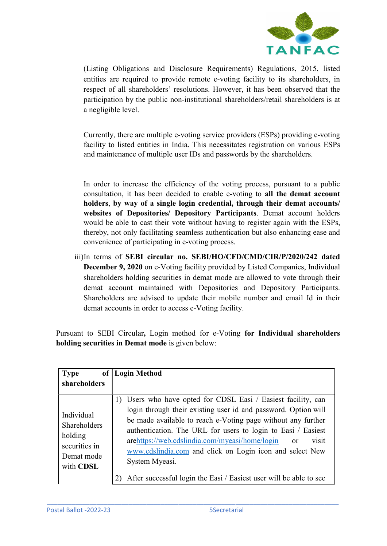

(Listing Obligations and Disclosure Requirements) Regulations, 2015, listed entities are required to provide remote e-voting facility to its shareholders, in respect of all shareholders' resolutions. However, it has been observed that the participation by the public non-institutional shareholders/retail shareholders is at a negligible level.

Currently, there are multiple e-voting service providers (ESPs) providing e-voting facility to listed entities in India. This necessitates registration on various ESPs and maintenance of multiple user IDs and passwords by the shareholders.

In order to increase the efficiency of the voting process, pursuant to a public consultation, it has been decided to enable e-voting to all the demat account holders, by way of a single login credential, through their demat accounts/ websites of Depositories/ Depository Participants. Demat account holders would be able to cast their vote without having to register again with the ESPs, thereby, not only facilitating seamless authentication but also enhancing ease and convenience of participating in e-voting process.

iii)In terms of SEBI circular no. SEBI/HO/CFD/CMD/CIR/P/2020/242 dated December 9, 2020 on e-Voting facility provided by Listed Companies, Individual shareholders holding securities in demat mode are allowed to vote through their demat account maintained with Depositories and Depository Participants. Shareholders are advised to update their mobile number and email Id in their demat accounts in order to access e-Voting facility.

Pursuant to SEBI Circular, Login method for e-Voting for Individual shareholders holding securities in Demat mode is given below:

| <b>Type</b><br>of                                                                 | Login Method                                                                                                                                                                                                                                                                                                                                                                                                                                                                                          |
|-----------------------------------------------------------------------------------|-------------------------------------------------------------------------------------------------------------------------------------------------------------------------------------------------------------------------------------------------------------------------------------------------------------------------------------------------------------------------------------------------------------------------------------------------------------------------------------------------------|
| shareholders                                                                      |                                                                                                                                                                                                                                                                                                                                                                                                                                                                                                       |
| Individual<br>Shareholders<br>holding<br>securities in<br>Demat mode<br>with CDSL | 1) Users who have opted for CDSL Easi / Easiest facility, can<br>login through their existing user id and password. Option will<br>be made available to reach e-Voting page without any further<br>authentication. The URL for users to login to Easi / Easiest<br>arehttps://web.cdslindia.com/myeasi/home/login<br>visit<br><sub>or</sub><br>www.cdslindia.com and click on Login icon and select New<br>System Myeasi.<br>After successful login the Easi / Easiest user will be able to see<br>2) |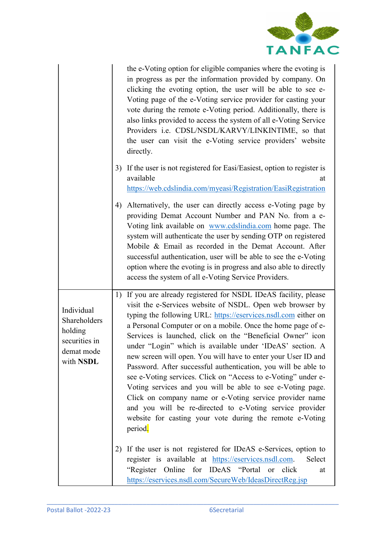

|                                                                                   | the e-Voting option for eligible companies where the evoting is<br>in progress as per the information provided by company. On<br>clicking the evoting option, the user will be able to see e-<br>Voting page of the e-Voting service provider for casting your<br>vote during the remote e-Voting period. Additionally, there is<br>also links provided to access the system of all e-Voting Service<br>Providers i.e. CDSL/NSDL/KARVY/LINKINTIME, so that<br>the user can visit the e-Voting service providers' website<br>directly.                                                                                                                                                                                                                                                                                                                      |
|-----------------------------------------------------------------------------------|------------------------------------------------------------------------------------------------------------------------------------------------------------------------------------------------------------------------------------------------------------------------------------------------------------------------------------------------------------------------------------------------------------------------------------------------------------------------------------------------------------------------------------------------------------------------------------------------------------------------------------------------------------------------------------------------------------------------------------------------------------------------------------------------------------------------------------------------------------|
|                                                                                   | 3) If the user is not registered for Easi/Easiest, option to register is<br>available<br>at<br>https://web.cdslindia.com/myeasi/Registration/EasiRegistration                                                                                                                                                                                                                                                                                                                                                                                                                                                                                                                                                                                                                                                                                              |
|                                                                                   | Alternatively, the user can directly access e-Voting page by<br>4)<br>providing Demat Account Number and PAN No. from a e-<br>Voting link available on www.cdslindia.com home page. The<br>system will authenticate the user by sending OTP on registered<br>Mobile & Email as recorded in the Demat Account. After<br>successful authentication, user will be able to see the e-Voting<br>option where the evoting is in progress and also able to directly<br>access the system of all e-Voting Service Providers.                                                                                                                                                                                                                                                                                                                                       |
| Individual<br>Shareholders<br>holding<br>securities in<br>demat mode<br>with NSDL | 1) If you are already registered for NSDL IDeAS facility, please<br>visit the e-Services website of NSDL. Open web browser by<br>typing the following URL: https://eservices.nsdl.com either on<br>a Personal Computer or on a mobile. Once the home page of e-<br>Services is launched, click on the "Beneficial Owner" icon<br>under "Login" which is available under 'IDeAS' section. A<br>new screen will open. You will have to enter your User ID and<br>Password. After successful authentication, you will be able to<br>see e-Voting services. Click on "Access to e-Voting" under e-<br>Voting services and you will be able to see e-Voting page.<br>Click on company name or e-Voting service provider name<br>and you will be re-directed to e-Voting service provider<br>website for casting your vote during the remote e-Voting<br>period. |
|                                                                                   | If the user is not registered for IDeAS e-Services, option to<br>2)<br>register is available at https://eservices.nsdl.com.<br>Select<br>"Register Online for IDeAS "Portal<br>click<br><sub>or</sub><br>at<br>https://eservices.nsdl.com/SecureWeb/IdeasDirectReg.jsp                                                                                                                                                                                                                                                                                                                                                                                                                                                                                                                                                                                     |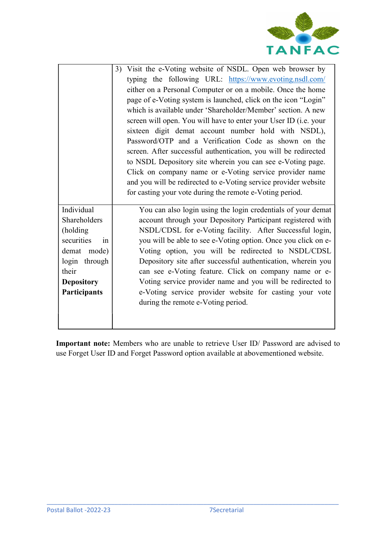

|                                                                                                                                          | Visit the e-Voting website of NSDL. Open web browser by<br>3)<br>typing the following URL: https://www.evoting.nsdl.com/<br>either on a Personal Computer or on a mobile. Once the home<br>page of e-Voting system is launched, click on the icon "Login"<br>which is available under 'Shareholder/Member' section. A new<br>screen will open. You will have to enter your User ID (i.e. your<br>sixteen digit demat account number hold with NSDL),<br>Password/OTP and a Verification Code as shown on the<br>screen. After successful authentication, you will be redirected<br>to NSDL Depository site wherein you can see e-Voting page.<br>Click on company name or e-Voting service provider name<br>and you will be redirected to e-Voting service provider website<br>for casting your vote during the remote e-Voting period. |
|------------------------------------------------------------------------------------------------------------------------------------------|-----------------------------------------------------------------------------------------------------------------------------------------------------------------------------------------------------------------------------------------------------------------------------------------------------------------------------------------------------------------------------------------------------------------------------------------------------------------------------------------------------------------------------------------------------------------------------------------------------------------------------------------------------------------------------------------------------------------------------------------------------------------------------------------------------------------------------------------|
| Individual<br>Shareholders<br>(holding<br>securities<br>in<br>demat mode)<br>login through<br>their<br><b>Depository</b><br>Participants | You can also login using the login credentials of your demat<br>account through your Depository Participant registered with<br>NSDL/CDSL for e-Voting facility. After Successful login,<br>you will be able to see e-Voting option. Once you click on e-<br>Voting option, you will be redirected to NSDL/CDSL<br>Depository site after successful authentication, wherein you<br>can see e-Voting feature. Click on company name or e-<br>Voting service provider name and you will be redirected to<br>e-Voting service provider website for casting your vote<br>during the remote e-Voting period.                                                                                                                                                                                                                                  |
|                                                                                                                                          |                                                                                                                                                                                                                                                                                                                                                                                                                                                                                                                                                                                                                                                                                                                                                                                                                                         |

Important note: Members who are unable to retrieve User ID/ Password are advised to use Forget User ID and Forget Password option available at abovementioned website.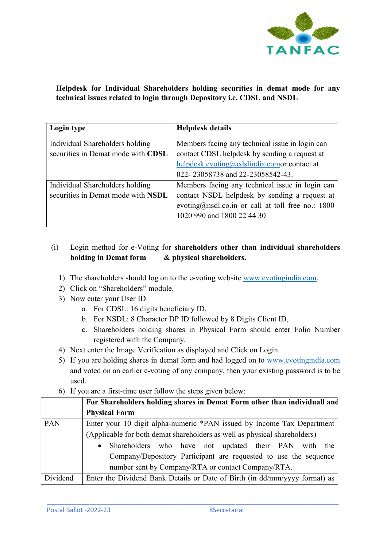

Helpdesk for Individual Shareholders holding securities in demat mode for any technical issues related to login through Depository i.e. CDSL and NSDL

| Login type                                                            | <b>Helpdesk details</b>                                                                                                                                                               |
|-----------------------------------------------------------------------|---------------------------------------------------------------------------------------------------------------------------------------------------------------------------------------|
| Individual Shareholders holding<br>securities in Demat mode with CDSL | Members facing any technical issue in login can<br>contact CDSL helpdesk by sending a request at                                                                                      |
|                                                                       | helpdesk.evoting@cdslindia.comor contact at<br>022-23058738 and 22-23058542-43.                                                                                                       |
| Individual Shareholders holding<br>securities in Demat mode with NSDL | Members facing any technical issue in login can<br>contact NSDL helpdesk by sending a request at<br>evoting@nsdl.co.in or call at toll free no.: $1800$<br>1020 990 and 1800 22 44 30 |

# (i) Login method for e-Voting for shareholders other than individual shareholders holding in Demat form & physical shareholders.

- 1) The shareholders should log on to the e-voting website www.evotingindia.com.
- 2) Click on "Shareholders" module.
- 3) Now enter your User ID
	- a. For CDSL: 16 digits beneficiary ID,
	- b. For NSDL: 8 Character DP ID followed by 8 Digits Client ID,
	- c. Shareholders holding shares in Physical Form should enter Folio Number registered with the Company.
- 4) Next enter the Image Verification as displayed and Click on Login.
- 5) If you are holding shares in demat form and had logged on to www.evotingindia.com and voted on an earlier e-voting of any company, then your existing password is to be used.
- 6) If you are a first-time user follow the steps given below:

|          | For Shareholders holding shares in Demat Form other than individuall and   |  |
|----------|----------------------------------------------------------------------------|--|
|          | <b>Physical Form</b>                                                       |  |
| PAN      | Enter your 10 digit alpha-numeric *PAN issued by Income Tax Department     |  |
|          | (Applicable for both demat shareholders as well as physical shareholders)  |  |
|          | Shareholders who have not updated their PAN with<br>the<br>$\bullet$       |  |
|          | Company/Depository Participant are requested to use the sequence           |  |
|          | number sent by Company/RTA or contact Company/RTA.                         |  |
| Dividend | Enter the Dividend Bank Details or Date of Birth (in dd/mm/yyyy format) as |  |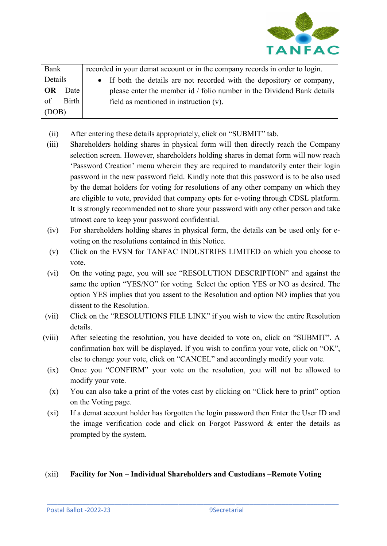

| Bank      |       | recorded in your demat account or in the company records in order to login. |
|-----------|-------|-----------------------------------------------------------------------------|
| Details   |       | • If both the details are not recorded with the depository or company,      |
| <b>OR</b> | Date  | please enter the member id / folio number in the Dividend Bank details      |
| of        | Birth | field as mentioned in instruction $(v)$ .                                   |
| (DOB)     |       |                                                                             |

- (ii) After entering these details appropriately, click on "SUBMIT" tab.
- (iii) Shareholders holding shares in physical form will then directly reach the Company selection screen. However, shareholders holding shares in demat form will now reach 'Password Creation' menu wherein they are required to mandatorily enter their login password in the new password field. Kindly note that this password is to be also used by the demat holders for voting for resolutions of any other company on which they are eligible to vote, provided that company opts for e-voting through CDSL platform. It is strongly recommended not to share your password with any other person and take utmost care to keep your password confidential.
- (iv) For shareholders holding shares in physical form, the details can be used only for evoting on the resolutions contained in this Notice.
- (v) Click on the EVSN for TANFAC INDUSTRIES LIMITED on which you choose to vote.
- (vi) On the voting page, you will see "RESOLUTION DESCRIPTION" and against the same the option "YES/NO" for voting. Select the option YES or NO as desired. The option YES implies that you assent to the Resolution and option NO implies that you dissent to the Resolution.
- (vii) Click on the "RESOLUTIONS FILE LINK" if you wish to view the entire Resolution details.
- (viii) After selecting the resolution, you have decided to vote on, click on "SUBMIT". A confirmation box will be displayed. If you wish to confirm your vote, click on "OK", else to change your vote, click on "CANCEL" and accordingly modify your vote.
	- (ix) Once you "CONFIRM" your vote on the resolution, you will not be allowed to modify your vote.
	- (x) You can also take a print of the votes cast by clicking on "Click here to print" option on the Voting page.
	- (xi) If a demat account holder has forgotten the login password then Enter the User ID and the image verification code and click on Forgot Password & enter the details as prompted by the system.

### (xii) Facility for Non – Individual Shareholders and Custodians –Remote Voting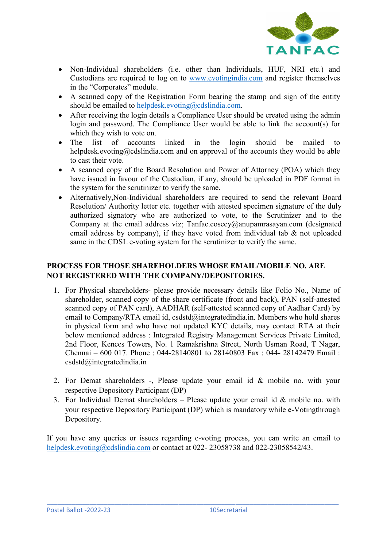

- Non-Individual shareholders (i.e. other than Individuals, HUF, NRI etc.) and Custodians are required to log on to www.evotingindia.com and register themselves in the "Corporates" module.
- A scanned copy of the Registration Form bearing the stamp and sign of the entity should be emailed to helpdesk.evoting@cdslindia.com.
- After receiving the login details a Compliance User should be created using the admin login and password. The Compliance User would be able to link the account(s) for which they wish to vote on.
- The list of accounts linked in the login should be mailed to helpdesk.evoting@cdslindia.com and on approval of the accounts they would be able to cast their vote.
- A scanned copy of the Board Resolution and Power of Attorney (POA) which they have issued in favour of the Custodian, if any, should be uploaded in PDF format in the system for the scrutinizer to verify the same.
- Alternatively,Non-Individual shareholders are required to send the relevant Board Resolution/ Authority letter etc. together with attested specimen signature of the duly authorized signatory who are authorized to vote, to the Scrutinizer and to the Company at the email address viz; Tanfac.cosecy@anupamrasayan.com (designated email address by company), if they have voted from individual tab & not uploaded same in the CDSL e-voting system for the scrutinizer to verify the same.

# PROCESS FOR THOSE SHAREHOLDERS WHOSE EMAIL/MOBILE NO. ARE NOT REGISTERED WITH THE COMPANY/DEPOSITORIES.

- 1. For Physical shareholders- please provide necessary details like Folio No., Name of shareholder, scanned copy of the share certificate (front and back), PAN (self-attested scanned copy of PAN card), AADHAR (self-attested scanned copy of Aadhar Card) by email to Company/RTA email id, csdstd@integratedindia.in. Members who hold shares in physical form and who have not updated KYC details, may contact RTA at their below mentioned address : Integrated Registry Management Services Private Limited, 2nd Floor, Kences Towers, No. 1 Ramakrishna Street, North Usman Road, T Nagar, Chennai – 600 017. Phone : 044-28140801 to 28140803 Fax : 044- 28142479 Email : csdstd@integratedindia.in
- 2. For Demat shareholders -, Please update your email id & mobile no. with your respective Depository Participant (DP)
- 3. For Individual Demat shareholders Please update your email id  $&$  mobile no. with your respective Depository Participant (DP) which is mandatory while e-Votingthrough Depository.

If you have any queries or issues regarding e-voting process, you can write an email to helpdesk.evoting@cdslindia.com or contact at 022-23058738 and 022-23058542/43.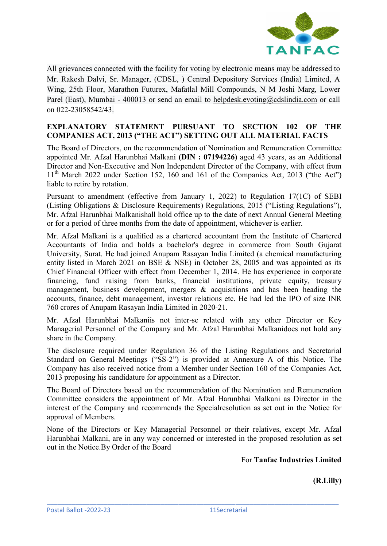

All grievances connected with the facility for voting by electronic means may be addressed to Mr. Rakesh Dalvi, Sr. Manager, (CDSL, ) Central Depository Services (India) Limited, A Wing, 25th Floor, Marathon Futurex, Mafatlal Mill Compounds, N M Joshi Marg, Lower Parel (East), Mumbai - 400013 or send an email to helpdesk.evoting@cdslindia.com or call on 022-23058542/43.

# EXPLANATORY STATEMENT PURSUANT TO SECTION 102 OF THE COMPANIES ACT, 2013 ("THE ACT") SETTING OUT ALL MATERIAL FACTS

The Board of Directors, on the recommendation of Nomination and Remuneration Committee appointed Mr. Afzal Harunbhai Malkani (DIN : 07194226) aged 43 years, as an Additional Director and Non-Executive and Non Independent Director of the Company, with effect from 11<sup>th</sup> March 2022 under Section 152, 160 and 161 of the Companies Act, 2013 ("the Act") liable to retire by rotation.

Pursuant to amendment (effective from January 1, 2022) to Regulation 17(1C) of SEBI (Listing Obligations & Disclosure Requirements) Regulations, 2015 ("Listing Regulations"), Mr. Afzal Harunbhai Malkanishall hold office up to the date of next Annual General Meeting or for a period of three months from the date of appointment, whichever is earlier.

Mr. Afzal Malkani is a qualified as a chartered accountant from the Institute of Chartered Accountants of India and holds a bachelor's degree in commerce from South Gujarat University, Surat. He had joined Anupam Rasayan India Limited (a chemical manufacturing entity listed in March 2021 on BSE & NSE) in October 28, 2005 and was appointed as its Chief Financial Officer with effect from December 1, 2014. He has experience in corporate financing, fund raising from banks, financial institutions, private equity, treasury management, business development, mergers & acquisitions and has been heading the accounts, finance, debt management, investor relations etc. He had led the IPO of size INR 760 crores of Anupam Rasayan India Limited in 2020-21.

Mr. Afzal Harunbhai Malkaniis not inter-se related with any other Director or Key Managerial Personnel of the Company and Mr. Afzal Harunbhai Malkanidoes not hold any share in the Company.

The disclosure required under Regulation 36 of the Listing Regulations and Secretarial Standard on General Meetings ("SS-2") is provided at Annexure A of this Notice. The Company has also received notice from a Member under Section 160 of the Companies Act, 2013 proposing his candidature for appointment as a Director.

The Board of Directors based on the recommendation of the Nomination and Remuneration Committee considers the appointment of Mr. Afzal Harunbhai Malkani as Director in the interest of the Company and recommends the Specialresolution as set out in the Notice for approval of Members.

None of the Directors or Key Managerial Personnel or their relatives, except Mr. Afzal Harunbhai Malkani, are in any way concerned or interested in the proposed resolution as set out in the Notice.By Order of the Board

\_\_\_\_\_\_\_\_\_\_\_\_\_\_\_\_\_\_\_\_\_\_\_\_\_\_\_\_\_\_\_\_\_\_\_\_\_\_\_\_\_\_\_\_\_\_\_\_\_\_\_\_\_\_\_\_\_\_\_\_\_\_\_\_\_\_\_\_\_\_\_\_\_\_\_\_\_\_\_\_\_\_

For Tanfac Industries Limited

(R.Lilly)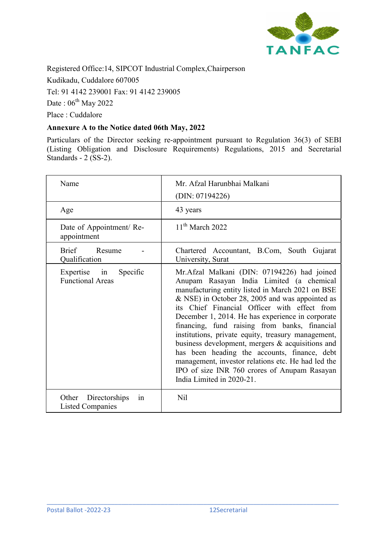

Registered Office:14, SIPCOT Industrial Complex,Chairperson Kudikadu, Cuddalore 607005 Tel: 91 4142 239001 Fax: 91 4142 239005 Date:  $06^{\text{th}}$  May 2022 Place : Cuddalore

### Annexure A to the Notice dated 06th May, 2022

Particulars of the Director seeking re-appointment pursuant to Regulation 36(3) of SEBI (Listing Obligation and Disclosure Requirements) Regulations, 2015 and Secretarial Standards - 2 (SS-2).

| Name                                                    | Mr. Afzal Harunbhai Malkani<br>(DIN: 07194226)                                                                                                                                                                                                                                                                                                                                                                                                                                                                                                                                                                                                   |
|---------------------------------------------------------|--------------------------------------------------------------------------------------------------------------------------------------------------------------------------------------------------------------------------------------------------------------------------------------------------------------------------------------------------------------------------------------------------------------------------------------------------------------------------------------------------------------------------------------------------------------------------------------------------------------------------------------------------|
| Age                                                     | 43 years                                                                                                                                                                                                                                                                                                                                                                                                                                                                                                                                                                                                                                         |
| Date of Appointment/Re-<br>appointment                  | $11th$ March 2022                                                                                                                                                                                                                                                                                                                                                                                                                                                                                                                                                                                                                                |
| <b>Brief</b><br>Resume<br>Qualification                 | Chartered Accountant, B.Com, South Gujarat<br>University, Surat                                                                                                                                                                                                                                                                                                                                                                                                                                                                                                                                                                                  |
| Expertise in<br>Specific<br><b>Functional Areas</b>     | Mr.Afzal Malkani (DIN: 07194226) had joined<br>Anupam Rasayan India Limited (a chemical<br>manufacturing entity listed in March 2021 on BSE<br>& NSE) in October 28, 2005 and was appointed as<br>its Chief Financial Officer with effect from<br>December 1, 2014. He has experience in corporate<br>financing, fund raising from banks, financial<br>institutions, private equity, treasury management,<br>business development, mergers & acquisitions and<br>has been heading the accounts, finance, debt<br>management, investor relations etc. He had led the<br>IPO of size INR 760 crores of Anupam Rasayan<br>India Limited in 2020-21. |
| Directorships<br>Other<br>1n<br><b>Listed Companies</b> | Nil                                                                                                                                                                                                                                                                                                                                                                                                                                                                                                                                                                                                                                              |